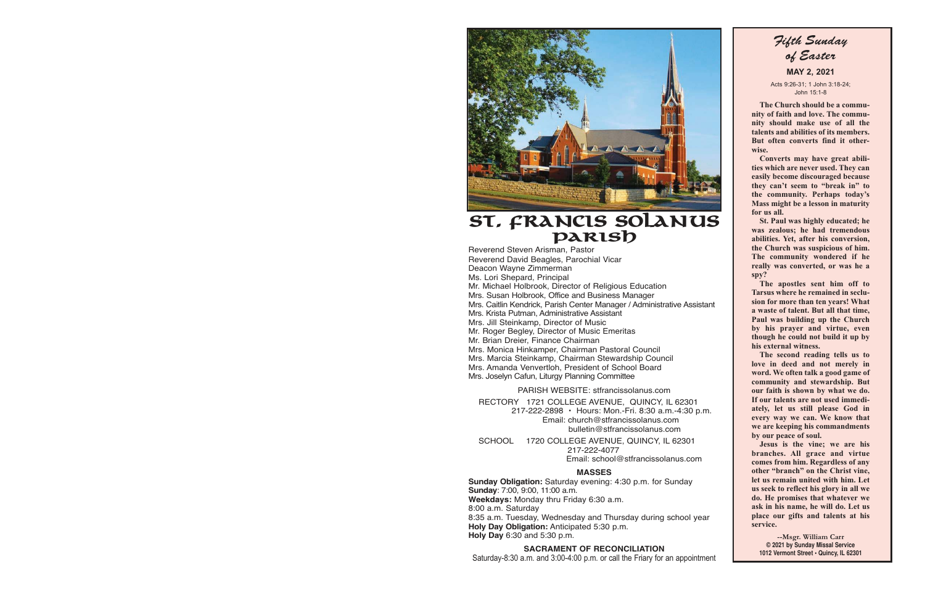

## **St. Francis Solanus Parish**

Reverend Steven Arisman, Pastor Reverend David Beagles, Parochial Vicar Deacon Wayne Zimmerman Ms. Lori Shepard, Principal Mr. Michael Holbrook, Director of Religious Education Mrs. Susan Holbrook, Office and Business Manager Mrs. Caitlin Kendrick, Parish Center Manager / Administrative Assistant Mrs. Krista Putman, Administrative Assistant Mrs. Jill Steinkamp, Director of Music Mr. Roger Begley, Director of Music Emeritas Mr. Brian Dreier, Finance Chairman Mrs. Monica Hinkamper, Chairman Pastoral Council Mrs. Marcia Steinkamp, Chairman Stewardship Council Mrs. Amanda Venvertloh, President of School Board Mrs. Joselyn Cafun, Liturgy Planning Committee

PARISH WEBSITE: stfrancissolanus.com

 RECTORY 1721 COLLEGE AVENUE, QUINCY, IL 62301 217-222-2898 • Hours: Mon.-Fri. 8:30 a.m.-4:30 p.m. Email: church@stfrancissolanus.com bulletin@stfrancissolanus.com

 SCHOOL 1720 COLLEGE AVENUE, QUINCY, IL 62301 217-222-4077 Email: school@stfrancissolanus.com

#### **MASSES**

**Sunday Obligation:** Saturday evening: 4:30 p.m. for Sunday **Sunday**: 7:00, 9:00, 11:00 a.m. **Weekdays:** Monday thru Friday 6:30 a.m. 8:00 a.m. Saturday 8:35 a.m. Tuesday, Wednesday and Thursday during school year **Holy Day Obligation:** Anticipated 5:30 p.m.

**Holy Day** 6:30 and 5:30 p.m.

#### **SACRAMENT OF RECONCILIATION**

Saturday-8:30 a.m. and 3:00-4:00 p.m. or call the Friary for an appointment

Fifth Sunday of Easter  **MAY 2, 2021** 

Acts 9:26-31; 1 John 3:18-24; John 15:1-8

 **The Church should be a community of faith and love. The community should make use of all the talents and abilities of its members. But often converts find it otherwise.** 

 **Converts may have great abilities which are never used. They can easily become discouraged because they can't seem to "break in" to the community. Perhaps today's Mass might be a lesson in maturity for us all.** 

 **St. Paul was highly educated; he was zealous; he had tremendous abilities. Yet, after his conversion, the Church was suspicious of him. The community wondered if he really was converted, or was he a spy?** 

 **The apostles sent him off to Tarsus where he remained in seclusion for more than ten years! What a waste of talent. But all that time, Paul was building up the Church by his prayer and virtue, even though he could not build it up by his external witness.** 

 **The second reading tells us to love in deed and not merely in word. We often talk a good game of community and stewardship. But our faith is shown by what we do. If our talents are not used immediately, let us still please God in every way we can. We know that we are keeping his commandments by our peace of soul.** 

 **Jesus is the vine; we are his branches. All grace and virtue comes from him. Regardless of any other "branch" on the Christ vine, let us remain united with him. Let us seek to reflect his glory in all we do. He promises that whatever we ask in his name, he will do. Let us place our gifts and talents at his service.** 

**--Msgr. William Carr © 2021 by Sunday Missal Service 1012 Vermont Street • Quincy, IL 62301**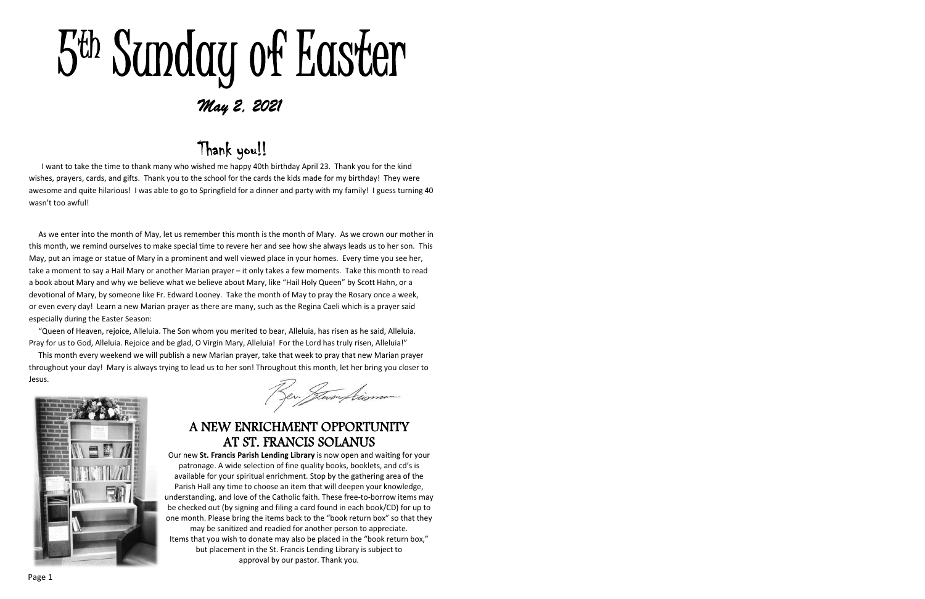# 5 th Sunday of Easter May 2, 2021

## Thank you!!

I want to take the time to thank many who wished me happy 40th birthday April 23. Thank you for the kind wishes, prayers, cards, and gifts. Thank you to the school for the cards the kids made for my birthday! They were awesome and quite hilarious! I was able to go to Springfield for a dinner and party with my family! I guess turning 40 wasn't too awful!

As we enter into the month of May, let us remember this month is the month of Mary. As we crown our mother in this month, we remind ourselves to make special time to revere her and see how she always leads us to her son. This May, put an image or statue of Mary in a prominent and well viewed place in your homes. Every time you see her, take a moment to say a Hail Mary or another Marian prayer – it only takes a few moments. Take this month to read a book about Mary and why we believe what we believe about Mary, like "Hail Holy Queen" by Scott Hahn, or a devotional of Mary, by someone like Fr. Edward Looney. Take the month of May to pray the Rosary once a week, or even every day!Learn a new Marian prayer as there are many, such as the Regina Caeli which is a prayer said especially during the Easter Season:

"Queen of Heaven, rejoice, Alleluia. The Son whom you merited to bear, Alleluia, has risen as he said, Alleluia. Pray for us to God, Alleluia. Rejoice and be glad, O Virgin Mary, Alleluia! For the Lord has truly risen, Alleluia!"

This month every weekend we will publish a new Marian prayer, take that week to pray that new Marian prayer throughout your day!Mary is always trying to lead us to her son! Throughout this month, let her bring you closer to Jesus.



## A NEW ENRICHMENT OPPORTUNITY AT ST. FRANCIS SOLANUS

Sev. Jeven Aisman

Our new **St. Francis Parish Lending Library** is now open and waiting for your patronage. A wide selection of fine quality books, booklets, and cd's is available for your spiritual enrichment. Stop by the gathering area of the Parish Hall any time to choose an item that will deepen your knowledge, understanding, and love of the Catholic faith. These free-to-borrow items may be checked out (by signing and filing a card found in each book/CD) for up to one month. Please bring the items back to the "book return box" so that they may be sanitized and readied for another person to appreciate. Items that you wish to donate may also be placed in the "book return box," but placement in the St. Francis Lending Library is subject to approval by our pastor. Thank you.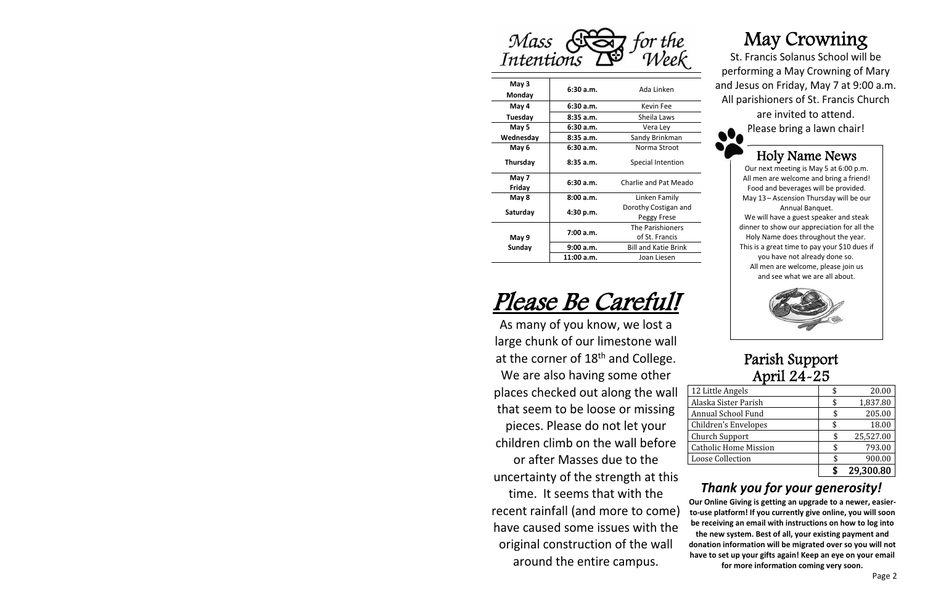

| May 3<br>Monday | 6:30a.m.     | Ada Linken                          |  |  |
|-----------------|--------------|-------------------------------------|--|--|
| May 4           | 6:30a.m.     | Kevin Fee                           |  |  |
| Tuesday         | 8:35a.m.     | Sheila Laws                         |  |  |
| May 5           | 6:30a.m.     | Vera Ley                            |  |  |
| Wednesday       | 8:35a.m.     | Sandy Brinkman                      |  |  |
| May 6           | 6:30a.m.     | Norma Stroot                        |  |  |
| <b>Thursday</b> | 8:35a.m.     | Special Intention                   |  |  |
| May 7<br>Friday | 6:30a.m.     | Charlie and Pat Meado               |  |  |
| May 8           | 8:00a.m.     | Linken Family                       |  |  |
| Saturday        | 4:30 p.m.    | Dorothy Costigan and<br>Peggy Frese |  |  |
|                 | 7:00 a.m.    | The Parishioners<br>of St. Francis  |  |  |
| May 9<br>Sunday | 9:00 a.m.    | <b>Bill and Katie Brink</b>         |  |  |
|                 | $11:00$ a.m. | Joan Liesen                         |  |  |

## Plea<sup>s</sup>e B<sup>e</sup> Careful!

As many of you know, we lost a large chunk of our limestone wall at the corner of  $18<sup>th</sup>$  and College.

We are also having some other places checked out along the wall that seem to be loose or missing pieces. Please do not let your children climb on the wall before or after Masses due to the uncertainty of the strength at this time. It seems that with the recent rainfall (and more to come) have caused some issues with the original construction of the wall around the entire campus.

## May Crowning

St. Francis Solanus School will be performing a May Crowning of Mary and Jesus on Friday, May 7 at 9:00 a.m. All parishioners of St. Francis Church

are invited to attend. Please bring a lawn chair!

## Holy Name News

Our next meeting is May 5 at 6:00 p.m. All men are welcome and bring a friend! Food and beverages will be provided. May 13 – Ascension Thursday will be our Annual Banquet.

We will have a guest speaker and steak dinner to show our appreciation for all the Holy Name does throughout the year. This is a great time to pay your \$10 dues if you have not already done so. All men are welcome, please join us and see what we are all about.



## Parish Support April 24-25

| 12 Little Angels             | 20.00     |
|------------------------------|-----------|
| Alaska Sister Parish         | 1,837.80  |
| Annual School Fund           | 205.00    |
| Children's Envelopes         | 18.00     |
| <b>Church Support</b>        | 25,527.00 |
| <b>Catholic Home Mission</b> | 793.00    |
| <b>Loose Collection</b>      | 900.00    |
|                              | 29,300.80 |

## *Thank you for your generosity!*

**Our Online Giving is getting an upgrade to a newer, easier**to-use platform! If you currently give online, you will soon be receiving an email with instructions on how to log into **the new system. Best of all, your existing payment and** donation information will be migrated over so you will not **have to set up your gifts again! Keep an eye on your email for more information coming very soon.**

Page 2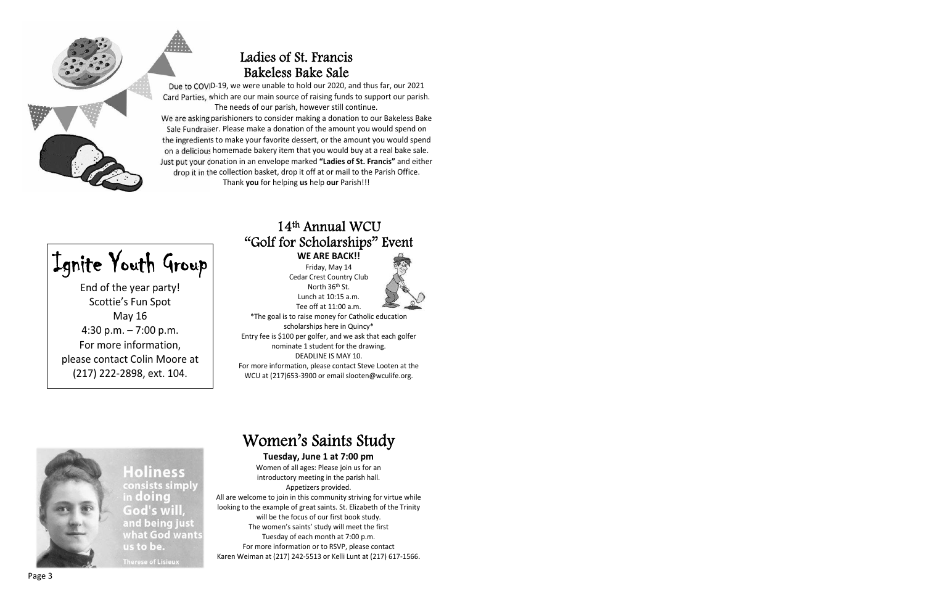

## Ladies of St. Francis Bakeless Bake Sale

Due to COVID-19, we were unable to hold our 2020, and thus far, our 2021 Card Parties, which are our main source of raising funds to support our parish. The needs of our parish, however still continue.

We are asking parishioners to consider making a donation to our Bakeless Bake Sale Fundraiser. Please make a donation of the amount you would spend on the ingredients to make your favorite dessert, or the amount you would spend on a delicious homemade bakery item that you would buy at a real bake sale. Just put your donation in an envelope marked **"Ladies of St. Francis"** and either drop it in the collection basket, drop it off at or mail to the Parish Office. Thank **you** for helping **us** help **our** Parish!!!

Ignite Youth Group

End of the year party! Scottie's Fun Spot May 16 4:30 p.m. – 7:00 p.m. For more information, please contact Colin Moore at (217) 222-2898, ext. 104.

## 14t<sup>h</sup> Annual WCU "Golf for Scholarships" Event

**WE ARE BACK!!** Friday, May 14

Cedar Crest Country Club North 36<sup>th</sup> St. Lunch at 10:15 a.m.



Tee off at 11:00 a.m. \*The goal is to raise money for Catholic education scholarships here in Quincy\* Entry fee is \$100 per golfer, and we ask that each golfer nominate 1 student for the drawing. DEADLINE IS MAY 10. For more information, please contact Steve Looten at the

WCU at (217)653-3900 or email slooten@wculife.org.



**Holiness** consists simply God's will, and being just what God want

## Women's Saints Study

### **Tuesday, June 1 at 7:00 pm**

Women of all ages: Please join us for an introductory meeting in the parish hall. Appetizers provided. All are welcome to join in this community striving for virtue while looking to the example of great saints. St. Elizabeth of the Trinity will be the focus of our first book study. The women's saints' study will meet the first Tuesday of each month at 7:00 p.m. For more information or to RSVP, please contact Karen Weiman at (217) 242-5513 or Kelli Lunt at (217) 617-1566.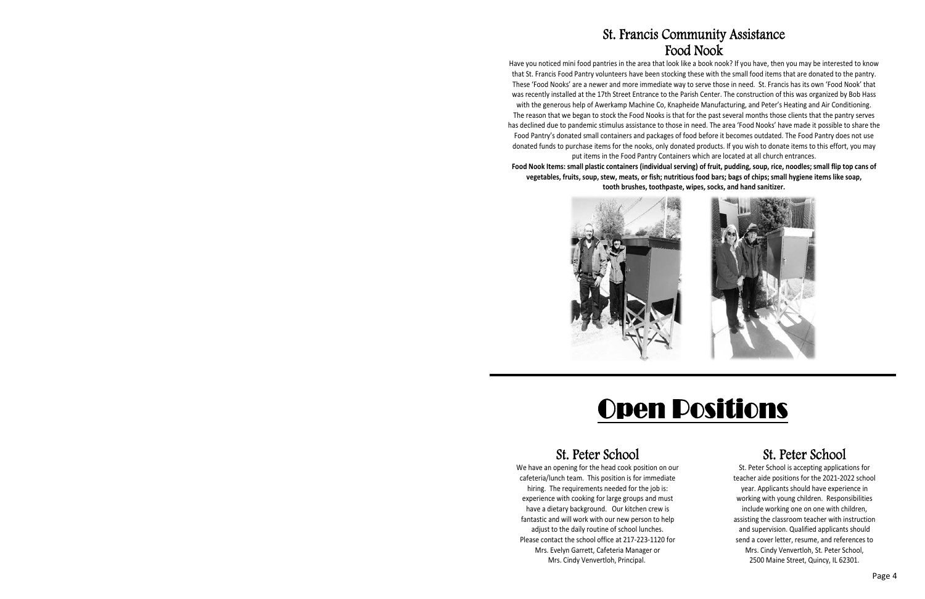## St. Francis Community Assistance Food Nook

Have you noticed mini food pantries in the area that look like a book nook? If you have, then you may be interested to know that St. Francis Food Pantry volunteers have been stocking these with the small food items that are donated to the pantry. These 'Food Nooks' are a newer and more immediate way to serve those in need. St. Francis has its own 'Food Nook' that was recently installed at the 17th Street Entrance to the Parish Center. The construction of this was organized by Bob Hass with the generous help of Awerkamp Machine Co, Knapheide Manufacturing, and Peter's Heating and Air Conditioning. The reason that we began to stock the Food Nooks is that for the past several months those clients that the pantry serves has declined due to pandemic stimulus assistance to those in need. The area 'Food Nooks' have made it possible to share the Food Pantry's donated small containers and packages of food before it becomes outdated. The Food Pantry does not use donated funds to purchase items for the nooks, only donated products. If you wish to donate items to this effort, you may put items in the Food Pantry Containers which are located at all church entrances.

Food Nook Items: small plastic containers (individual serving) of fruit, pudding, soup, rice, noodles; small flip top cans of vegetables, fruits, soup, stew, meats, or fish; nutritious food bars; bags of chips; small hygiene items like soap, **tooth brushes, toothpaste, wipes, socks, and hand sanitizer.**





# Open Positions

## St. Peter School

We have an opening for the head cook position on our cafeteria/lunch team. This position is for immediate hiring. The requirements needed for the job is: experience with cooking for large groups and must have a dietary background. Our kitchen crew is fantastic and will work with our new person to help adjust to the daily routine of school lunches. Please contact the school office at 217-223-1120 for Mrs. Evelyn Garrett, Cafeteria Manager or Mrs. Cindy Venvertloh, Principal.

## St. Peter School

St. Peter School is accepting applications for teacher aide positions for the 2021-2022 school year. Applicants should have experience in working with young children. Responsibilities include working one on one with children, assisting the classroom teacher with instruction and supervision. Qualified applicants should send a cover letter, resume, and references to Mrs. Cindy Venvertloh, St. Peter School, 2500 Maine Street, Quincy, IL 62301.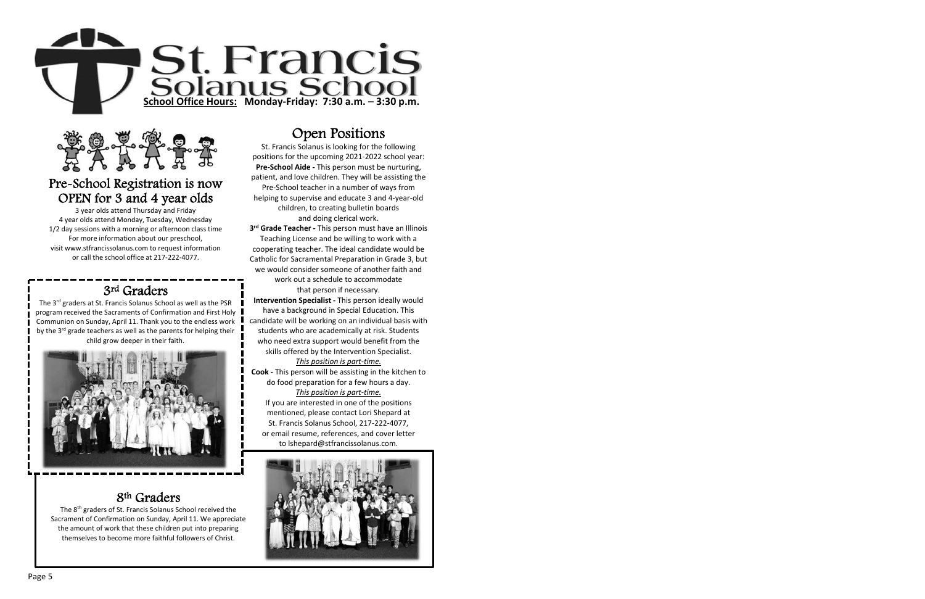



## Pre-School Registration is now OPEN for 3 and 4 year olds

3 year olds attend Thursday and Friday 4 year olds attend Monday, Tuesday, Wednesday 1/2 day sessions with a morning or afternoon class time For more information about our preschool, visit www.stfrancissolanus.com to request information or call the school office at 217-222-4077.

## 3rd Graders

The 3<sup>rd</sup> graders at St. Francis Solanus School as well as the PSR program received the Sacraments of Confirmation and First Holy Communion on Sunday, April 11. Thank you to the endless work by the 3<sup>rd</sup> grade teachers as well as the parents for helping their child grow deeper in their faith.



## 8th Graders

The 8<sup>th</sup> graders of St. Francis Solanus School received the Sacrament of Confirmation on Sunday, April 11. We appreciate the amount of work that these children put into preparing themselves to become more faithful followers of Christ.

## Open Positions

St. Francis Solanus is looking for the following positions for the upcoming 2021-2022 school year: **Pre-School Aide** - This person must be nurturing, patient, and love children. They will be assisting the Pre-School teacher in a number of ways from helping to supervise and educate 3 and 4-year-old children, to creating bulletin boards and doing clerical work.

**3 rd Grade Teacher Ͳ** This person must have an Illinois Teaching License and be willing to work with a cooperating teacher. The ideal candidate would be Catholic for Sacramental Preparation in Grade 3, but we would consider someone of another faith and work out a schedule to accommodate that person if necessary.

**Intervention Specialist - This person ideally would** have a background in Special Education. This candidate will be working on an individual basis with students who are academically at risk. Students who need extra support would benefit from the skills offered by the Intervention Specialist.

#### *<u><i>This position is part-time.*</u>

**Cook** - This person will be assisting in the kitchen to do food preparation for a few hours a day. *This position is part-time.* 

If you are interested in one of the positions mentioned, please contact Lori Shepard at St. Francis Solanus School, 217-222-4077, or email resume, references, and cover letter to lshepard@stfrancissolanus.com.

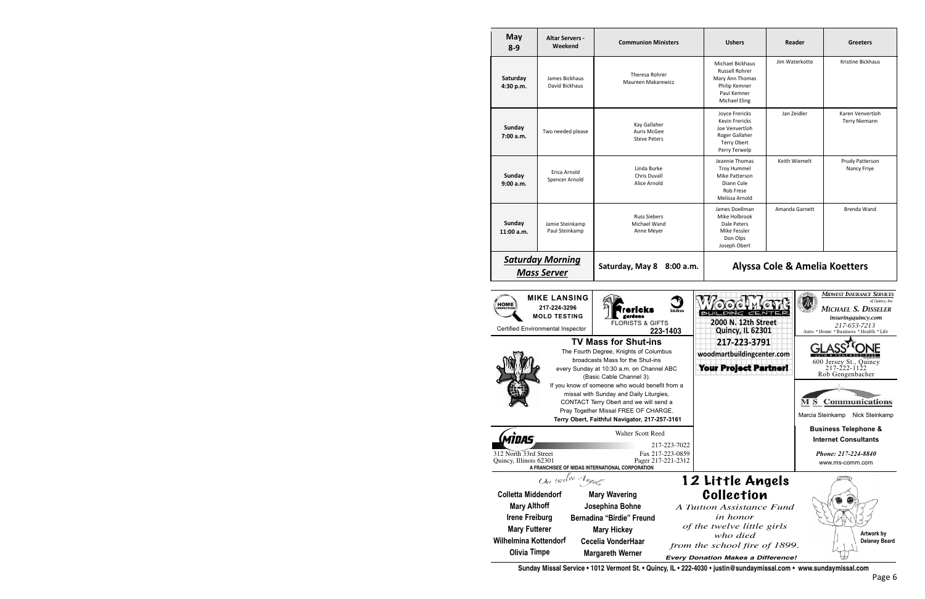| <b>May</b><br>$8 - 9$                                                                                                                                                                                                         | <b>Altar Servers -</b><br>Weekend                                                               | <b>Communion Ministers</b>                                                                                                                                                         | <b>Ushers</b>                                                                                                                                             | Reader                                                         | <b>Greeters</b>                                                                                                                                             |  |
|-------------------------------------------------------------------------------------------------------------------------------------------------------------------------------------------------------------------------------|-------------------------------------------------------------------------------------------------|------------------------------------------------------------------------------------------------------------------------------------------------------------------------------------|-----------------------------------------------------------------------------------------------------------------------------------------------------------|----------------------------------------------------------------|-------------------------------------------------------------------------------------------------------------------------------------------------------------|--|
| Saturday<br>4:30 p.m.                                                                                                                                                                                                         | James Bickhaus<br>David Bickhaus                                                                | Theresa Rohrer<br><b>Maureen Makarewicz</b>                                                                                                                                        | <b>Michael Bickhaus</b><br><b>Russell Rohrer</b><br>Mary Ann Thomas<br>Philip Kemner<br>Paul Kemner<br>Michael Eling                                      | Jim Waterkotte                                                 | Kristine Bickhaus                                                                                                                                           |  |
| Sunday<br>7:00 a.m.                                                                                                                                                                                                           | Two needed please                                                                               | Kay Gallaher<br>Auris McGee<br><b>Steve Peters</b>                                                                                                                                 | Joyce Frericks<br>Kevin Frericks<br>Joe Venvertloh<br>Roger Gallaher<br><b>Terry Obert</b><br>Perry Terwelp                                               | Jan Zeidler                                                    | Karen Venvertloh<br><b>Terry Niemann</b>                                                                                                                    |  |
| Sunday<br>9:00a.m.                                                                                                                                                                                                            | Erica Arnold<br>Spencer Arnold                                                                  | Linda Burke<br><b>Chris Duvall</b><br>Alice Arnold                                                                                                                                 | Jeannie Thomas<br><b>Troy Hummel</b><br>Mike Patterson<br>Diann Cole<br><b>Rob Frese</b><br>Melissa Arnold                                                | Keith Wiemelt                                                  | <b>Prudy Patterson</b><br>Nancy Friye                                                                                                                       |  |
| Sunday<br>11:00 a.m.                                                                                                                                                                                                          | Jamie Steinkamp<br>Paul Steinkamp                                                               | <b>Russ Siebers</b><br>Michael Wand<br>Anne Meyer                                                                                                                                  | James Doellman<br>Mike Holbrook<br>Dale Peters<br>Mike Fessler<br>Don Olps<br>Joseph Obert                                                                | Amanda Garnett                                                 | Brenda Wand                                                                                                                                                 |  |
| <b>Saturday Morning</b><br>Alyssa Cole & Amelia Koetters<br>Saturday, May 8 8:00 a.m.<br><b>Mass Server</b>                                                                                                                   |                                                                                                 |                                                                                                                                                                                    |                                                                                                                                                           |                                                                |                                                                                                                                                             |  |
| <b>HOME</b>                                                                                                                                                                                                                   | <b>MIKE LANSING</b><br>217-224-3296<br><b>MOLD TESTING</b><br>Certified Environmental Inspector | ericks <sup>.</sup><br>Teleflora<br>gardens<br><b>FLORISTS &amp; GIFTS</b><br>223-1403                                                                                             | <b>DING</b><br>CEN<br>BUIL<br>2000 N. 12th Street<br><b>Quincy, IL 62301</b>                                                                              | $\mathcal{U}$                                                  | <b>MIDWEST INSURANCE SERVICES</b><br>of Quincy, Inc.<br>MICHAEL S. DISSELER<br>insuringquincy.com<br>217-653-7213<br>Auto . Home . Business . Health . Life |  |
|                                                                                                                                                                                                                               |                                                                                                 | <b>TV Mass for Shut-ins</b><br>The Fourth Degree, Knights of Columbus<br>broadcasts Mass for the Shut-ins<br>every Sunday at 10:30 a.m. on Channel ABC<br>(Basic Cable Channel 3). | 217-223-3791<br>woodmartbuildingcenter.com<br>Your Project Partner!                                                                                       |                                                                | 600 Jersey St., Quincy<br>217-222-1122<br>Rob Gengenbacher                                                                                                  |  |
| If you know of someone who would benefit from a<br>missal with Sunday and Daily Liturgies,<br>CONTACT Terry Obert and we will send a<br>Pray Together Missal FREE OF CHARGE.<br>Terry Obert, Faithful Navigator, 217-257-3161 |                                                                                                 |                                                                                                                                                                                    |                                                                                                                                                           | <b>MS</b> Communications<br>Marcia Steinkamp<br>Nick Steinkamp |                                                                                                                                                             |  |
| <i><b>MIDAS</b></i>                                                                                                                                                                                                           |                                                                                                 | <b>Walter Scott Reed</b>                                                                                                                                                           |                                                                                                                                                           |                                                                | <b>Business Telephone &amp;</b><br><b>Internet Consultants</b>                                                                                              |  |
| 312 North 33rd Street<br>Quincy, Illinois 62301                                                                                                                                                                               |                                                                                                 | 217-223-7022<br>Fax 217-223-0859<br>Pager 217-221-2312<br>A FRANCHISEE OF MIDAS INTERNATIONAL CORPORATION                                                                          |                                                                                                                                                           |                                                                | Phone: 217-224-8840<br>www.ms-comm.com                                                                                                                      |  |
| <b>Colletta Middendorf</b><br><b>Mary Althoff</b><br><b>Irene Freiburg</b><br><b>Mary Futterer</b><br><b>Wilhelmina Kottendorf</b>                                                                                            | Our twelve Angels                                                                               | <b>Mary Wavering</b><br>Josephina Bohne<br><b>Bernadina "Birdie" Freund</b><br><b>Mary Hickey</b><br><b>Cecelia VonderHaar</b>                                                     | 12 Little Angels<br>Collection<br>A Tuition Assistance Fund<br><i>in honor</i><br>of the twelve little girls<br>who died<br>from the school fire of 1899. |                                                                | Artwork by<br><b>Delaney Beard</b>                                                                                                                          |  |
| <b>Olivia Timpe</b>                                                                                                                                                                                                           |                                                                                                 | <b>Margareth Werner</b>                                                                                                                                                            | <b>Every Donation Makes a Difference!</b>                                                                                                                 |                                                                |                                                                                                                                                             |  |

**Sunday Missal Service • 1012 Vermont St. • Quincy, IL • 222-4030 • justin@sundaymissal.com • www.sundaymissal.com**